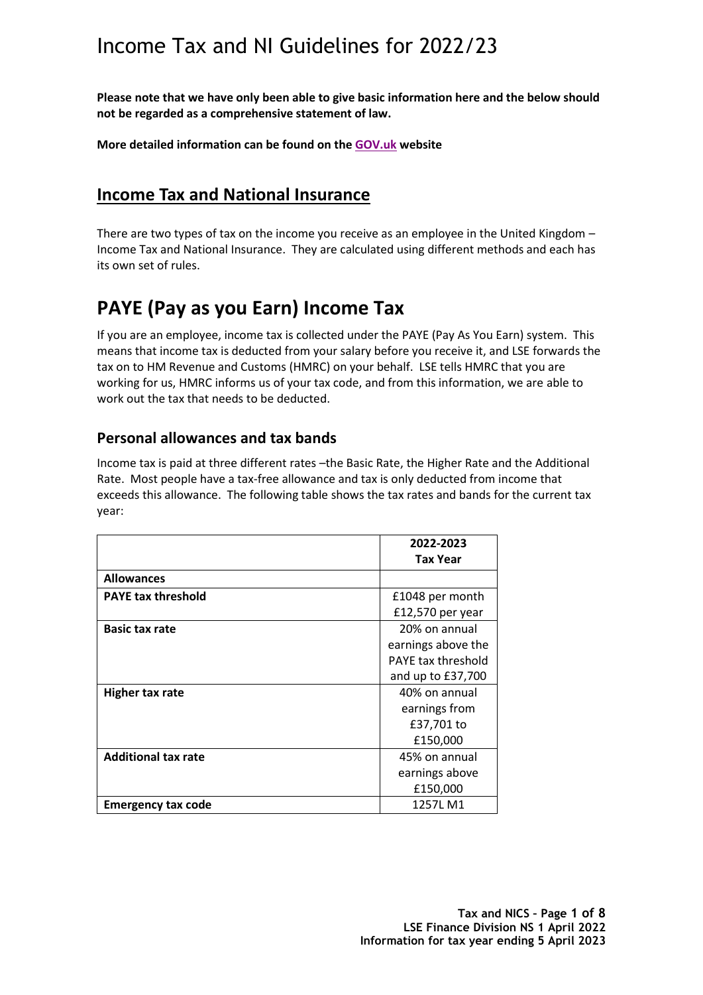**Please note that we have only been able to give basic information here and the below should not be regarded as a comprehensive statement of law.** 

**More detailed information can be found on the [GOV.uk](https://www.gov.uk/browse/tax) website**

## **Income Tax and National Insurance**

There are two types of tax on the income you receive as an employee in the United Kingdom – Income Tax and National Insurance. They are calculated using different methods and each has its own set of rules.

# **PAYE (Pay as you Earn) Income Tax**

If you are an employee, income tax is collected under the PAYE (Pay As You Earn) system. This means that income tax is deducted from your salary before you receive it, and LSE forwards the tax on to HM Revenue and Customs (HMRC) on your behalf. LSE tells HMRC that you are working for us, HMRC informs us of your tax code, and from this information, we are able to work out the tax that needs to be deducted.

### **Personal allowances and tax bands**

Income tax is paid at three different rates –the Basic Rate, the Higher Rate and the Additional Rate. Most people have a tax-free allowance and tax is only deducted from income that exceeds this allowance. The following table shows the tax rates and bands for the current tax year:

|                            | 2022-2023          |
|----------------------------|--------------------|
|                            | <b>Tax Year</b>    |
| <b>Allowances</b>          |                    |
| <b>PAYE tax threshold</b>  | £1048 per month    |
|                            | £12,570 per year   |
| <b>Basic tax rate</b>      | 20% on annual      |
|                            | earnings above the |
|                            | PAYE tax threshold |
|                            | and up to £37,700  |
| <b>Higher tax rate</b>     | 40% on annual      |
|                            | earnings from      |
|                            | £37,701 to         |
|                            | £150,000           |
| <b>Additional tax rate</b> | 45% on annual      |
|                            | earnings above     |
|                            | £150,000           |
| <b>Emergency tax code</b>  | 1257L M1           |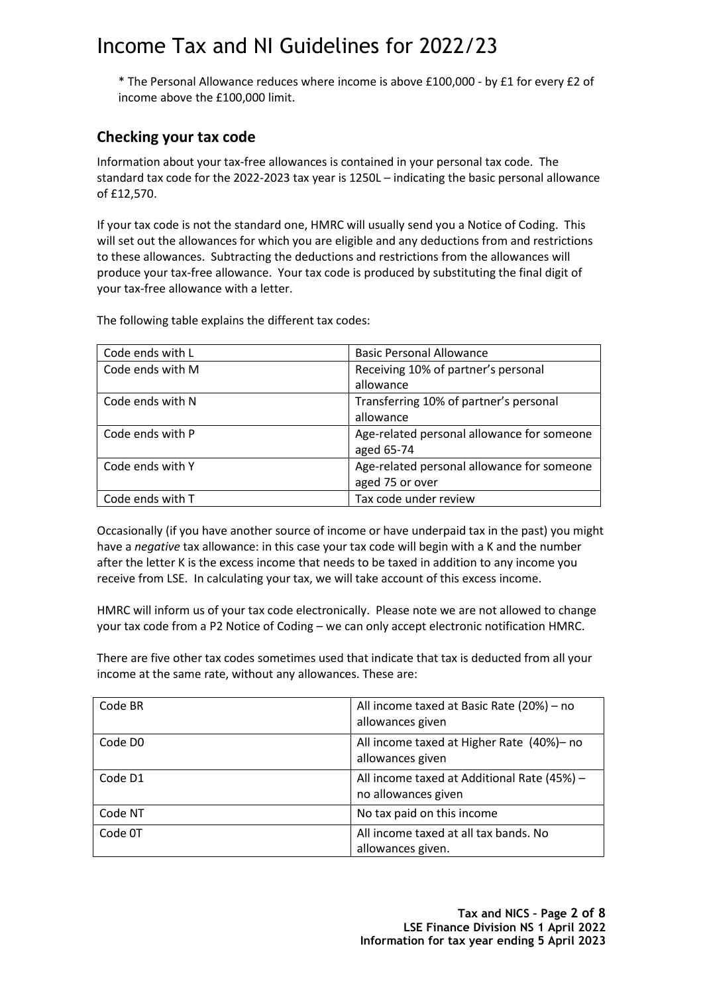\* The Personal Allowance reduces where income is above £100,000 - by £1 for every £2 of income above the £100,000 limit.

#### **Checking your tax code**

Information about your tax-free allowances is contained in your personal tax code. The standard tax code for the 2022-2023 tax year is 1250L – indicating the basic personal allowance of £12,570.

If your tax code is not the standard one, HMRC will usually send you a Notice of Coding. This will set out the allowances for which you are eligible and any deductions from and restrictions to these allowances. Subtracting the deductions and restrictions from the allowances will produce your tax-free allowance. Your tax code is produced by substituting the final digit of your tax-free allowance with a letter.

The following table explains the different tax codes:

| Code ends with L | <b>Basic Personal Allowance</b>            |  |
|------------------|--------------------------------------------|--|
| Code ends with M | Receiving 10% of partner's personal        |  |
|                  | allowance                                  |  |
| Code ends with N | Transferring 10% of partner's personal     |  |
|                  | allowance                                  |  |
| Code ends with P | Age-related personal allowance for someone |  |
|                  | aged 65-74                                 |  |
| Code ends with Y | Age-related personal allowance for someone |  |
|                  | aged 75 or over                            |  |
| Code ends with T | Tax code under review                      |  |

Occasionally (if you have another source of income or have underpaid tax in the past) you might have a *negative* tax allowance: in this case your tax code will begin with a K and the number after the letter K is the excess income that needs to be taxed in addition to any income you receive from LSE. In calculating your tax, we will take account of this excess income.

HMRC will inform us of your tax code electronically. Please note we are not allowed to change your tax code from a P2 Notice of Coding – we can only accept electronic notification HMRC.

There are five other tax codes sometimes used that indicate that tax is deducted from all your income at the same rate, without any allowances. These are:

| Code BR | All income taxed at Basic Rate (20%) - no<br>allowances given      |
|---------|--------------------------------------------------------------------|
| Code DO | All income taxed at Higher Rate (40%)- no<br>allowances given      |
| Code D1 | All income taxed at Additional Rate (45%) -<br>no allowances given |
| Code NT | No tax paid on this income                                         |
| Code 0T | All income taxed at all tax bands. No<br>allowances given.         |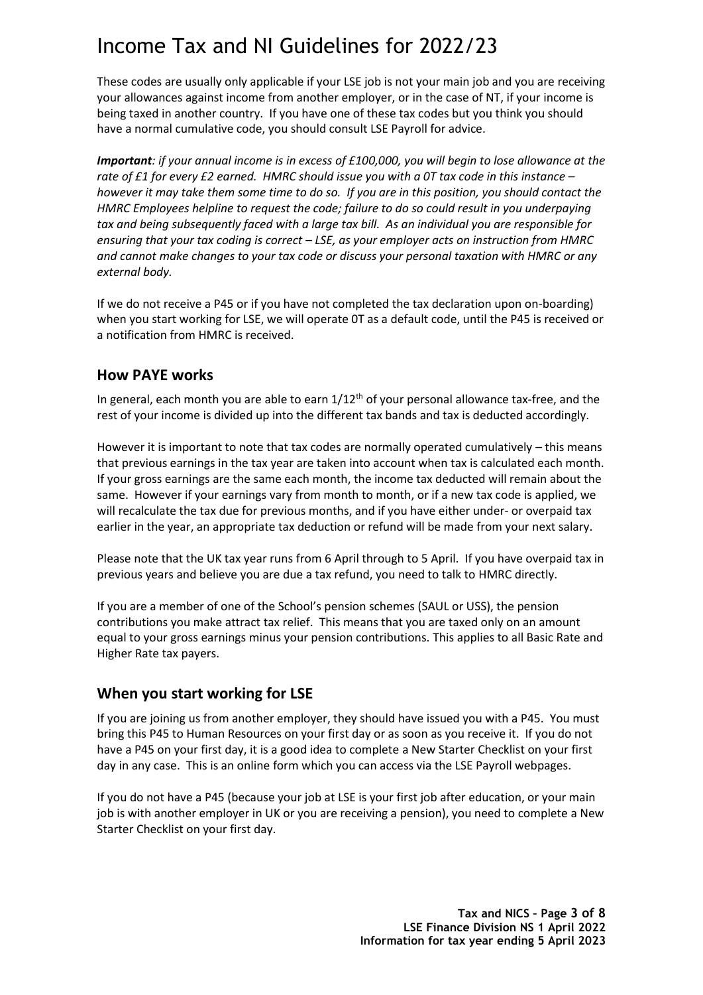These codes are usually only applicable if your LSE job is not your main job and you are receiving your allowances against income from another employer, or in the case of NT, if your income is being taxed in another country. If you have one of these tax codes but you think you should have a normal cumulative code, you should consult LSE Payroll for advice.

*Important: if your annual income is in excess of £100,000, you will begin to lose allowance at the rate of £1 for every £2 earned. HMRC should issue you with a 0T tax code in this instance – however it may take them some time to do so. If you are in this position, you should contact the HMRC Employees helpline to request the code; failure to do so could result in you underpaying tax and being subsequently faced with a large tax bill. As an individual you are responsible for ensuring that your tax coding is correct – LSE, as your employer acts on instruction from HMRC and cannot make changes to your tax code or discuss your personal taxation with HMRC or any external body.*

If we do not receive a P45 or if you have not completed the tax declaration upon on-boarding) when you start working for LSE, we will operate 0T as a default code, until the P45 is received or a notification from HMRC is received.

### **How PAYE works**

In general, each month you are able to earn  $1/12<sup>th</sup>$  of your personal allowance tax-free, and the rest of your income is divided up into the different tax bands and tax is deducted accordingly.

However it is important to note that tax codes are normally operated cumulatively – this means that previous earnings in the tax year are taken into account when tax is calculated each month. If your gross earnings are the same each month, the income tax deducted will remain about the same. However if your earnings vary from month to month, or if a new tax code is applied, we will recalculate the tax due for previous months, and if you have either under- or overpaid tax earlier in the year, an appropriate tax deduction or refund will be made from your next salary.

Please note that the UK tax year runs from 6 April through to 5 April. If you have overpaid tax in previous years and believe you are due a tax refund, you need to talk to HMRC directly.

If you are a member of one of the School's pension schemes (SAUL or USS), the pension contributions you make attract tax relief. This means that you are taxed only on an amount equal to your gross earnings minus your pension contributions. This applies to all Basic Rate and Higher Rate tax payers.

#### **When you start working for LSE**

If you are joining us from another employer, they should have issued you with a P45. You must bring this P45 to Human Resources on your first day or as soon as you receive it. If you do not have a P45 on your first day, it is a good idea to complete a New Starter Checklist on your first day in any case. This is an online form which you can access via the LSE Payroll webpages.

If you do not have a P45 (because your job at LSE is your first job after education, or your main job is with another employer in UK or you are receiving a pension), you need to complete a New Starter Checklist on your first day.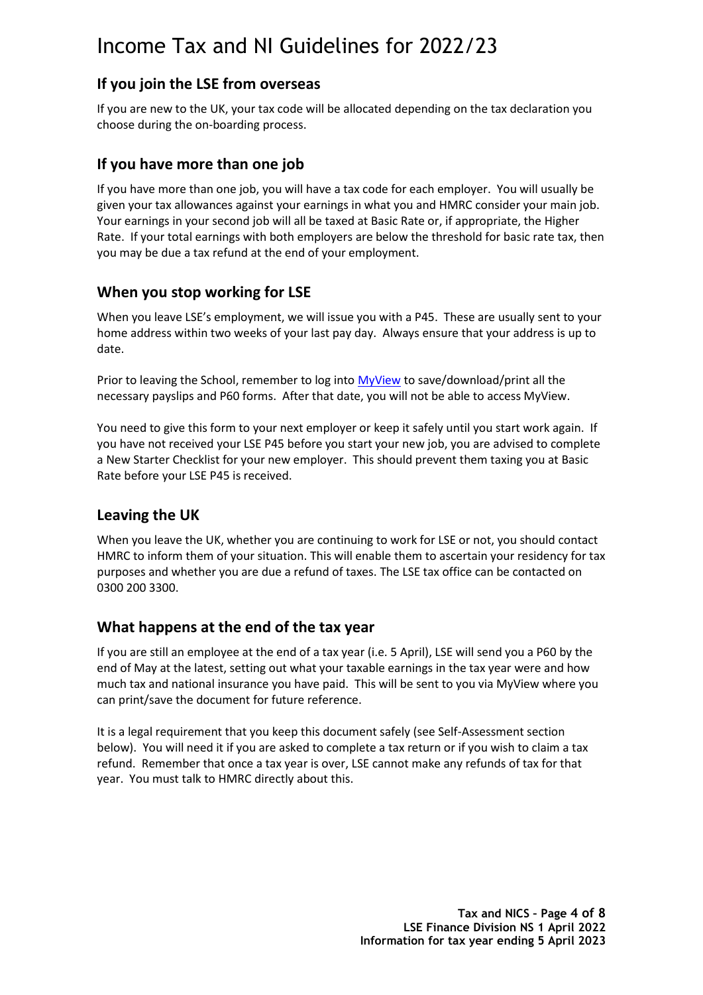### **If you join the LSE from overseas**

If you are new to the UK, your tax code will be allocated depending on the tax declaration you choose during the on-boarding process.

#### **If you have more than one job**

If you have more than one job, you will have a tax code for each employer. You will usually be given your tax allowances against your earnings in what you and HMRC consider your main job. Your earnings in your second job will all be taxed at Basic Rate or, if appropriate, the Higher Rate. If your total earnings with both employers are below the threshold for basic rate tax, then you may be due a tax refund at the end of your employment.

### **When you stop working for LSE**

When you leave LSE's employment, we will issue you with a P45. These are usually sent to your home address within two weeks of your last pay day. Always ensure that your address is up to date.

Prior to leaving the School, remember to log into [MyView](https://myview.lse.ac.uk/dashboard/dashboard-ui/index.html#/landing) to save/download/print all the necessary payslips and P60 forms. After that date, you will not be able to access MyView.

You need to give this form to your next employer or keep it safely until you start work again. If you have not received your LSE P45 before you start your new job, you are advised to complete a New Starter Checklist for your new employer. This should prevent them taxing you at Basic Rate before your LSE P45 is received.

### **Leaving the UK**

When you leave the UK, whether you are continuing to work for LSE or not, you should contact HMRC to inform them of your situation. This will enable them to ascertain your residency for tax purposes and whether you are due a refund of taxes. The LSE tax office can be contacted on 0300 200 3300.

#### **What happens at the end of the tax year**

If you are still an employee at the end of a tax year (i.e. 5 April), LSE will send you a P60 by the end of May at the latest, setting out what your taxable earnings in the tax year were and how much tax and national insurance you have paid. This will be sent to you via MyView where you can print/save the document for future reference.

It is a legal requirement that you keep this document safely (see Self-Assessment section below). You will need it if you are asked to complete a tax return or if you wish to claim a tax refund. Remember that once a tax year is over, LSE cannot make any refunds of tax for that year. You must talk to HMRC directly about this.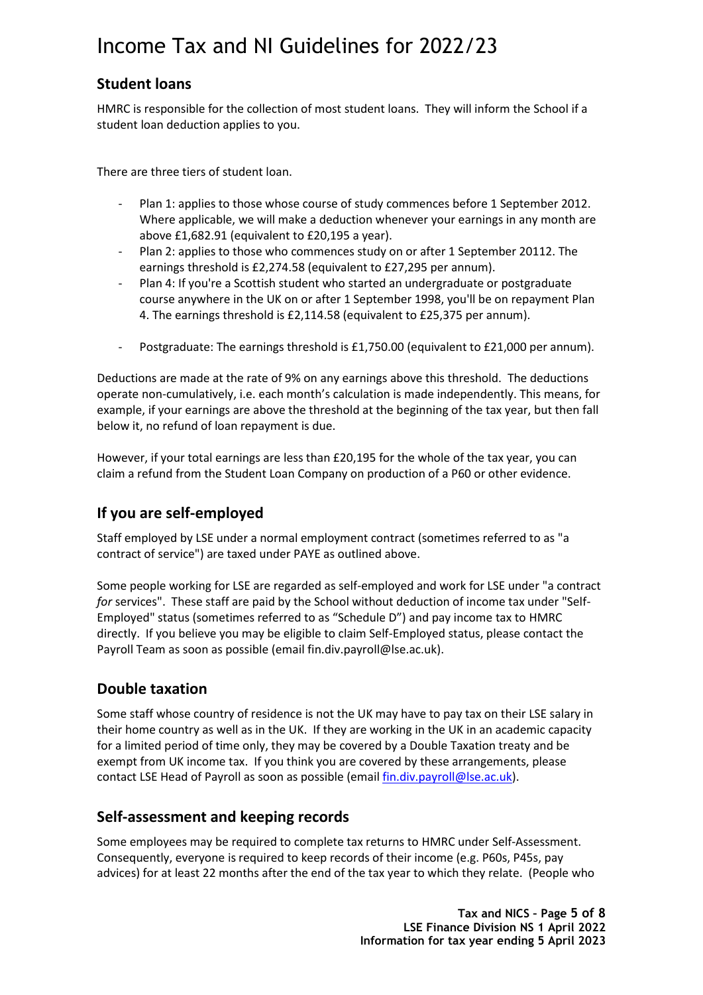### **Student loans**

HMRC is responsible for the collection of most student loans. They will inform the School if a student loan deduction applies to you.

There are three tiers of student loan.

- Plan 1: applies to those whose course of study commences before 1 September 2012. Where applicable, we will make a deduction whenever your earnings in any month are above £1,682.91 (equivalent to £20,195 a year).
- Plan 2: applies to those who commences study on or after 1 September 20112. The earnings threshold is £2,274.58 (equivalent to £27,295 per annum).
- Plan 4: If you're a Scottish student who started an undergraduate or postgraduate course anywhere in the UK on or after 1 September 1998, you'll be on repayment Plan 4. The earnings threshold is £2,114.58 (equivalent to £25,375 per annum).
- Postgraduate: The earnings threshold is £1,750.00 (equivalent to £21,000 per annum).

Deductions are made at the rate of 9% on any earnings above this threshold. The deductions operate non-cumulatively, i.e. each month's calculation is made independently. This means, for example, if your earnings are above the threshold at the beginning of the tax year, but then fall below it, no refund of loan repayment is due.

However, if your total earnings are less than £20,195 for the whole of the tax year, you can claim a refund from the Student Loan Company on production of a P60 or other evidence.

### **If you are self-employed**

Staff employed by LSE under a normal employment contract (sometimes referred to as "a contract of service") are taxed under PAYE as outlined above.

Some people working for LSE are regarded as self-employed and work for LSE under "a contract *for* services". These staff are paid by the School without deduction of income tax under "Self-Employed" status (sometimes referred to as "Schedule D") and pay income tax to HMRC directly. If you believe you may be eligible to claim Self-Employed status, please contact the Payroll Team as soon as possible (email fin.div.payroll@lse.ac.uk).

#### **Double taxation**

Some staff whose country of residence is not the UK may have to pay tax on their LSE salary in their home country as well as in the UK. If they are working in the UK in an academic capacity for a limited period of time only, they may be covered by a Double Taxation treaty and be exempt from UK income tax. If you think you are covered by these arrangements, please contact LSE Head of Payroll as soon as possible (email [fin.div.payroll@lse.ac.uk\)](mailto:fin.div.payroll@lse.ac.uk).

#### **Self-assessment and keeping records**

Some employees may be required to complete tax returns to HMRC under Self-Assessment. Consequently, everyone is required to keep records of their income (e.g. P60s, P45s, pay advices) for at least 22 months after the end of the tax year to which they relate. (People who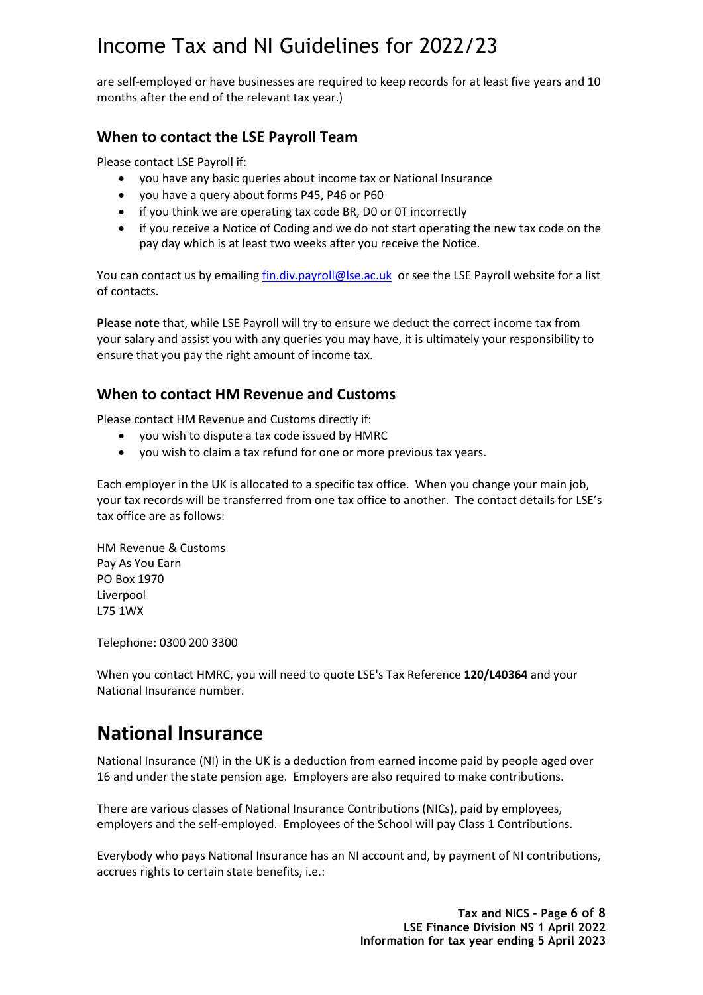are self-employed or have businesses are required to keep records for at least five years and 10 months after the end of the relevant tax year.)

### **When to contact the LSE Payroll Team**

Please contact LSE Payroll if:

- you have any basic queries about income tax or National Insurance
- you have a query about forms P45, P46 or P60
- if you think we are operating tax code BR, D0 or 0T incorrectly
- if you receive a Notice of Coding and we do not start operating the new tax code on the pay day which is at least two weeks after you receive the Notice.

You can contact us by emailing [fin.div.payroll@lse.ac.uk](mailto:fin.div.payroll@lse.ac.uk) or see the LSE Payroll website for a list of contacts.

**Please note** that, while LSE Payroll will try to ensure we deduct the correct income tax from your salary and assist you with any queries you may have, it is ultimately your responsibility to ensure that you pay the right amount of income tax.

#### **When to contact HM Revenue and Customs**

Please contact HM Revenue and Customs directly if:

- you wish to dispute a tax code issued by HMRC
- you wish to claim a tax refund for one or more previous tax years.

Each employer in the UK is allocated to a specific tax office. When you change your main job, your tax records will be transferred from one tax office to another. The contact details for LSE's tax office are as follows:

HM Revenue & Customs Pay As You Earn PO Box 1970 Liverpool L75 1WX

Telephone: 0300 200 3300

When you contact HMRC, you will need to quote LSE's Tax Reference **120/L40364** and your National Insurance number.

# **National Insurance**

National Insurance (NI) in the UK is a deduction from earned income paid by people aged over 16 and under the state pension age. Employers are also required to make contributions.

There are various classes of National Insurance Contributions (NICs), paid by employees, employers and the self-employed. Employees of the School will pay Class 1 Contributions.

Everybody who pays National Insurance has an NI account and, by payment of NI contributions, accrues rights to certain state benefits, i.e.: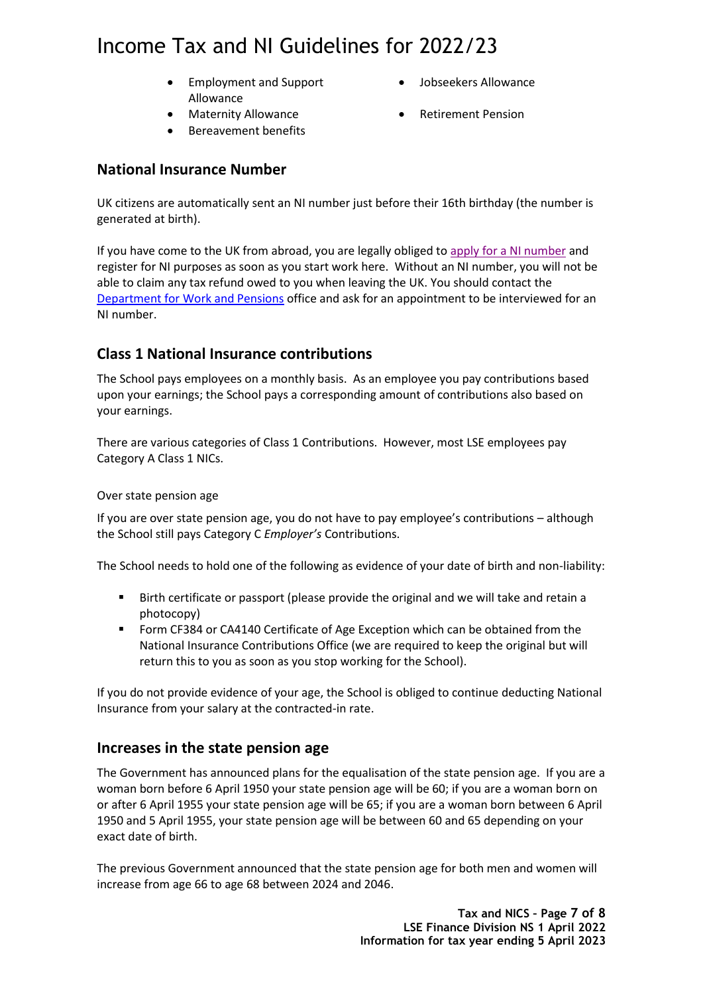- Employment and Support Allowance
- Maternity Allowance **•** Retirement Pension
- Bereavement benefits
- Jobseekers Allowance
- 

#### **National Insurance Number**

UK citizens are automatically sent an NI number just before their 16th birthday (the number is generated at birth).

If you have come to the UK from abroad, you are legally obliged t[o apply for a NI number](https://www.gov.uk/apply-national-insurance-number) and register for NI purposes as soon as you start work here. Without an NI number, you will not be able to claim any tax refund owed to you when leaving the UK. You should contact the [Department for Work and Pensions](https://www.gov.uk/government/organisations/department-for-work-pensions) office and ask for an appointment to be interviewed for an NI number.

### **Class 1 National Insurance contributions**

The School pays employees on a monthly basis. As an employee you pay contributions based upon your earnings; the School pays a corresponding amount of contributions also based on your earnings.

There are various categories of Class 1 Contributions. However, most LSE employees pay Category A Class 1 NICs.

Over state pension age

If you are over state pension age, you do not have to pay employee's contributions – although the School still pays Category C *Employer's* Contributions.

The School needs to hold one of the following as evidence of your date of birth and non-liability:

- Birth certificate or passport (please provide the original and we will take and retain a photocopy)
- Form CF384 or CA4140 Certificate of Age Exception which can be obtained from the National Insurance Contributions Office (we are required to keep the original but will return this to you as soon as you stop working for the School).

If you do not provide evidence of your age, the School is obliged to continue deducting National Insurance from your salary at the contracted-in rate.

#### **Increases in the state pension age**

The Government has announced plans for the equalisation of the state pension age. If you are a woman born before 6 April 1950 your state pension age will be 60; if you are a woman born on or after 6 April 1955 your state pension age will be 65; if you are a woman born between 6 April 1950 and 5 April 1955, your state pension age will be between 60 and 65 depending on your exact date of birth.

The previous Government announced that the state pension age for both men and women will increase from age 66 to age 68 between 2024 and 2046.